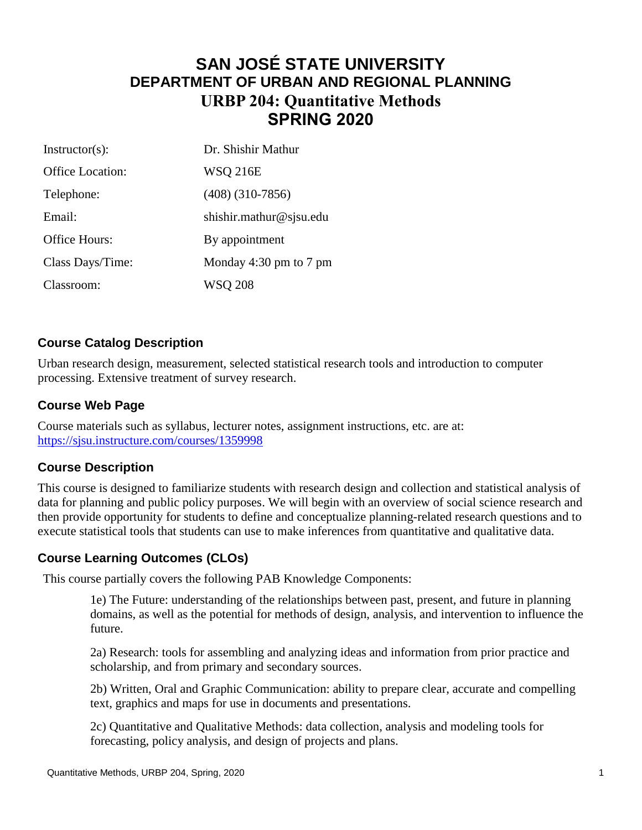# **SAN JOSÉ STATE UNIVERSITY DEPARTMENT OF URBAN AND REGIONAL PLANNING URBP 204: Quantitative Methods SPRING 2020**

| $Instructor(s)$ : | Dr. Shishir Mathur      |  |
|-------------------|-------------------------|--|
| Office Location:  | <b>WSO 216E</b>         |  |
| Telephone:        | $(408)$ $(310-7856)$    |  |
| Email:            | shishir.mathur@sjsu.edu |  |
| Office Hours:     | By appointment          |  |
| Class Days/Time:  | Monday 4:30 pm to 7 pm  |  |
| Classroom:        | WSQ 208                 |  |

## **Course Catalog Description**

Urban research design, measurement, selected statistical research tools and introduction to computer processing. Extensive treatment of survey research.

#### **Course Web Page**

Course materials such as syllabus, lecturer notes, assignment instructions, etc. are at: <https://sjsu.instructure.com/courses/1359998>

#### **Course Description**

This course is designed to familiarize students with research design and collection and statistical analysis of data for planning and public policy purposes. We will begin with an overview of social science research and then provide opportunity for students to define and conceptualize planning-related research questions and to execute statistical tools that students can use to make inferences from quantitative and qualitative data.

#### **Course Learning Outcomes (CLOs)**

This course partially covers the following PAB Knowledge Components:

1e) The Future: understanding of the relationships between past, present, and future in planning domains, as well as the potential for methods of design, analysis, and intervention to influence the future.

2a) Research: tools for assembling and analyzing ideas and information from prior practice and scholarship, and from primary and secondary sources.

2b) Written, Oral and Graphic Communication: ability to prepare clear, accurate and compelling text, graphics and maps for use in documents and presentations.

2c) Quantitative and Qualitative Methods: data collection, analysis and modeling tools for forecasting, policy analysis, and design of projects and plans.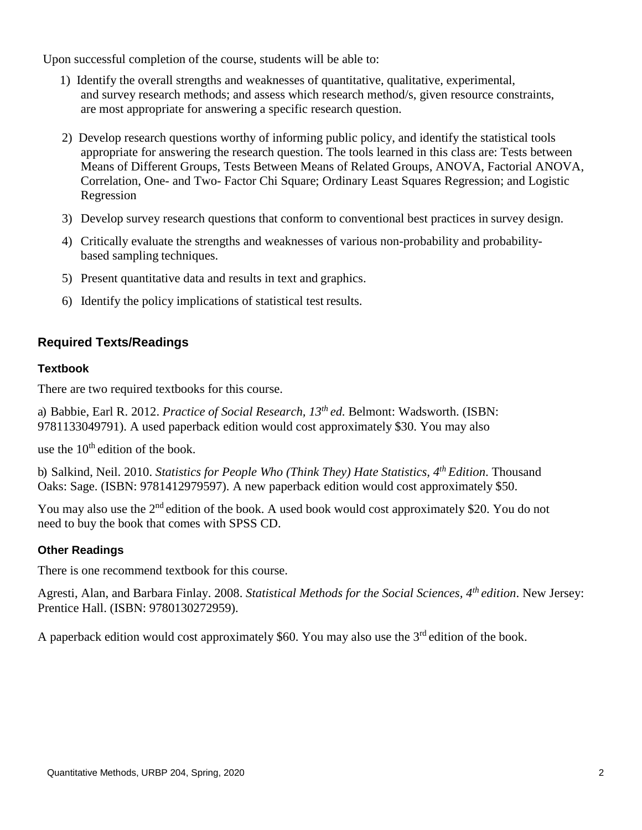Upon successful completion of the course, students will be able to:

- 1) Identify the overall strengths and weaknesses of quantitative, qualitative, experimental, and survey research methods; and assess which research method/s, given resource constraints, are most appropriate for answering a specific research question.
- 2) Develop research questions worthy of informing public policy, and identify the statistical tools appropriate for answering the research question. The tools learned in this class are: Tests between Means of Different Groups, Tests Between Means of Related Groups, ANOVA, Factorial ANOVA, Correlation, One- and Two- Factor Chi Square; Ordinary Least Squares Regression; and Logistic Regression
- 3) Develop survey research questions that conform to conventional best practices in survey design.
- 4) Critically evaluate the strengths and weaknesses of various non-probability and probabilitybased sampling techniques.
- 5) Present quantitative data and results in text and graphics.
- 6) Identify the policy implications of statistical test results.

# **Required Texts/Readings**

#### **Textbook**

There are two required textbooks for this course.

a) Babbie, Earl R. 2012. *Practice of Social Research, 13 th ed.* Belmont: Wadsworth. (ISBN: 9781133049791). A used paperback edition would cost approximately \$30. You may also

use the  $10<sup>th</sup>$  edition of the book.

b) Salkind, Neil. 2010. *Statistics for People Who (Think They) Hate Statistics, 4 th Edition*. Thousand Oaks: Sage. (ISBN: 9781412979597). A new paperback edition would cost approximately \$50.

You may also use the 2<sup>nd</sup> edition of the book. A used book would cost approximately \$20. You do not need to buy the book that comes with SPSS CD.

#### **Other Readings**

There is one recommend textbook for this course.

Agresti, Alan, and Barbara Finlay. 2008. *Statistical Methods for the Social Sciences, 4<sup>th</sup> edition*. New Jersey: Prentice Hall. (ISBN: 9780130272959).

A paperback edition would cost approximately \$60. You may also use the  $3<sup>rd</sup>$  edition of the book.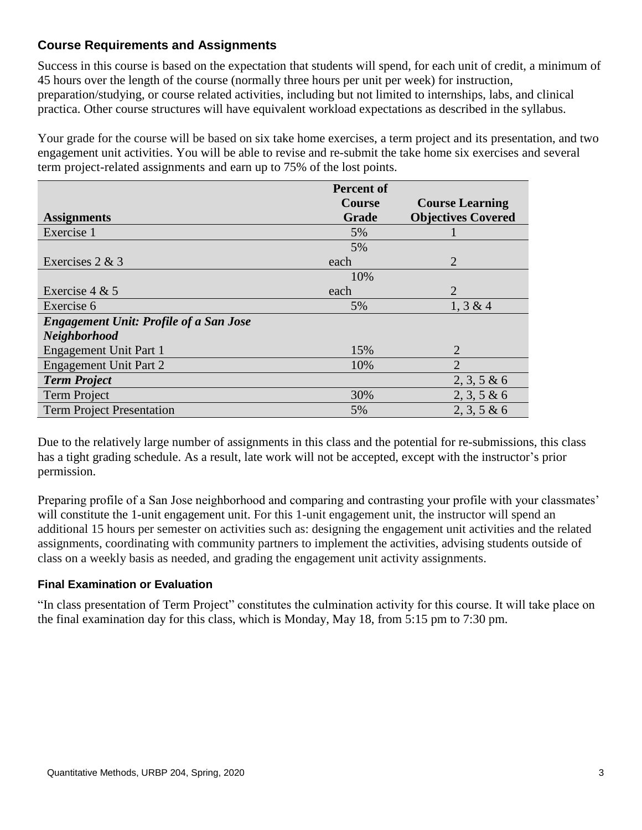## **Course Requirements and Assignments**

Success in this course is based on the expectation that students will spend, for each unit of credit, a minimum of 45 hours over the length of the course (normally three hours per unit per week) for instruction, preparation/studying, or course related activities, including but not limited to internships, labs, and clinical practica. Other course structures will have equivalent workload expectations as described in the syllabus.

Your grade for the course will be based on six take home exercises, a term project and its presentation, and two engagement unit activities. You will be able to revise and re-submit the take home six exercises and several term project-related assignments and earn up to 75% of the lost points.

|                                               | <b>Percent of</b> |                           |
|-----------------------------------------------|-------------------|---------------------------|
|                                               | <b>Course</b>     | <b>Course Learning</b>    |
| <b>Assignments</b>                            | <b>Grade</b>      | <b>Objectives Covered</b> |
| Exercise 1                                    | 5%                |                           |
|                                               | 5%                |                           |
| Exercises $2 & 3$                             | each              | $\overline{2}$            |
|                                               | 10%               |                           |
| Exercise $4 & 5$                              | each              | $\mathfrak{D}$            |
| Exercise 6                                    | 5%                | 1, 3 & 4                  |
| <b>Engagement Unit: Profile of a San Jose</b> |                   |                           |
| <b>Neighborhood</b>                           |                   |                           |
| <b>Engagement Unit Part 1</b>                 | 15%               | 2                         |
| <b>Engagement Unit Part 2</b>                 | 10%               | $\overline{2}$            |
| <b>Term Project</b>                           |                   | $2, 3, 5 \& 6$            |
| <b>Term Project</b>                           | 30%               | $2, 3, 5 \& 6$            |
| <b>Term Project Presentation</b>              | 5%                | 2, 3, 5 & 6               |

Due to the relatively large number of assignments in this class and the potential for re-submissions, this class has a tight grading schedule. As a result, late work will not be accepted, except with the instructor's prior permission.

Preparing profile of a San Jose neighborhood and comparing and contrasting your profile with your classmates' will constitute the 1-unit engagement unit. For this 1-unit engagement unit, the instructor will spend an additional 15 hours per semester on activities such as: designing the engagement unit activities and the related assignments, coordinating with community partners to implement the activities, advising students outside of class on a weekly basis as needed, and grading the engagement unit activity assignments.

#### **Final Examination or Evaluation**

"In class presentation of Term Project" constitutes the culmination activity for this course. It will take place on the final examination day for this class, which is Monday, May 18, from 5:15 pm to 7:30 pm.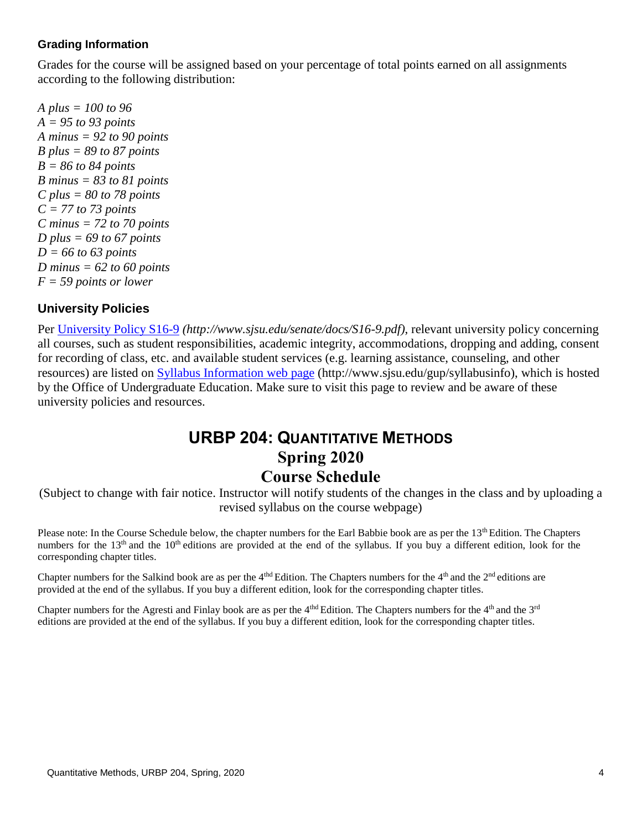#### **Grading Information**

Grades for the course will be assigned based on your percentage of total points earned on all assignments according to the following distribution:

*A plus = 100 to 96 A = 95 to 93 points A minus = 92 to 90 points B plus = 89 to 87 points B = 86 to 84 points B minus = 83 to 81 points C plus = 80 to 78 points C = 77 to 73 points C minus = 72 to 70 points D plus = 69 to 67 points D = 66 to 63 points D minus = 62 to 60 points F = 59 points or lower*

#### **University Policies**

Per [University Policy S16-9](http://www.sjsu.edu/senate/docs/S16-9.pdf) *(http://www.sjsu.edu/senate/docs/S16-9.pdf)*, relevant university policy concerning all courses, such as student responsibilities, academic integrity, accommodations, dropping and adding, consent for recording of class, etc. and available student services (e.g. learning assistance, counseling, and other resources) are listed on [Syllabus Information](http://www.sjsu.edu/gup/syllabusinfo/) web page (http://www.sjsu.edu/gup/syllabusinfo), which is hosted by the Office of Undergraduate Education. Make sure to visit this page to review and be aware of these university policies and resources.

# **URBP 204: QUANTITATIVE METHODS Spring 2020 Course Schedule**

(Subject to change with fair notice. Instructor will notify students of the changes in the class and by uploading a revised syllabus on the course webpage)

Please note: In the Course Schedule below, the chapter numbers for the Earl Babbie book are as per the 13<sup>th</sup> Edition. The Chapters numbers for the  $13<sup>th</sup>$  and the  $10<sup>th</sup>$  editions are provided at the end of the syllabus. If you buy a different edition, look for the corresponding chapter titles.

Chapter numbers for the Salkind book are as per the 4<sup>thd</sup> Edition. The Chapters numbers for the  $4<sup>th</sup>$  and the  $2<sup>nd</sup>$  editions are provided at the end of the syllabus. If you buy a different edition, look for the corresponding chapter titles.

Chapter numbers for the Agresti and Finlay book are as per the  $4<sup>th</sup>$  Edition. The Chapters numbers for the  $4<sup>th</sup>$  and the  $3<sup>rd</sup>$ editions are provided at the end of the syllabus. If you buy a different edition, look for the corresponding chapter titles.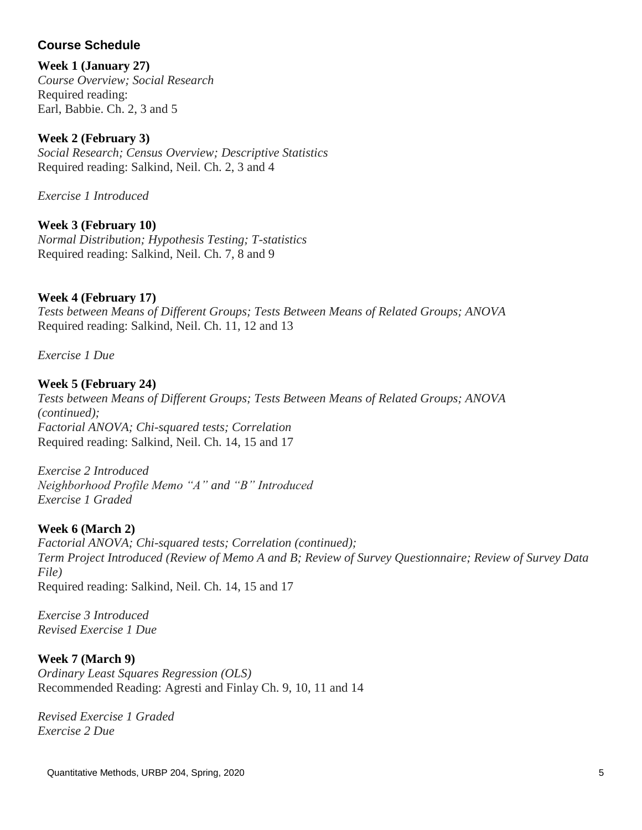# **Course Schedule**

#### **Week 1 (January 27)**

*Course Overview; Social Research* Required reading: Earl, Babbie. Ch. 2, 3 and 5

## **Week 2 (February 3)**

*Social Research; Census Overview; Descriptive Statistics* Required reading: Salkind, Neil. Ch. 2, 3 and 4

*Exercise 1 Introduced*

## **Week 3 (February 10)**

*Normal Distribution; Hypothesis Testing; T-statistics*  Required reading: Salkind, Neil. Ch. 7, 8 and 9

## **Week 4 (February 17)**

*Tests between Means of Different Groups; Tests Between Means of Related Groups; ANOVA* Required reading: Salkind, Neil. Ch. 11, 12 and 13

*Exercise 1 Due*

#### **Week 5 (February 24)**

*Tests between Means of Different Groups; Tests Between Means of Related Groups; ANOVA (continued); Factorial ANOVA; Chi-squared tests; Correlation* Required reading: Salkind, Neil. Ch. 14, 15 and 17

*Exercise 2 Introduced Neighborhood Profile Memo "A" and "B" Introduced Exercise 1 Graded*

# **Week 6 (March 2)**

*Factorial ANOVA; Chi-squared tests; Correlation (continued); Term Project Introduced (Review of Memo A and B; Review of Survey Questionnaire; Review of Survey Data File)* Required reading: Salkind, Neil. Ch. 14, 15 and 17

*Exercise 3 Introduced Revised Exercise 1 Due*

#### **Week 7 (March 9)**

*Ordinary Least Squares Regression (OLS)* Recommended Reading: Agresti and Finlay Ch. 9, 10, 11 and 14

*Revised Exercise 1 Graded Exercise 2 Due*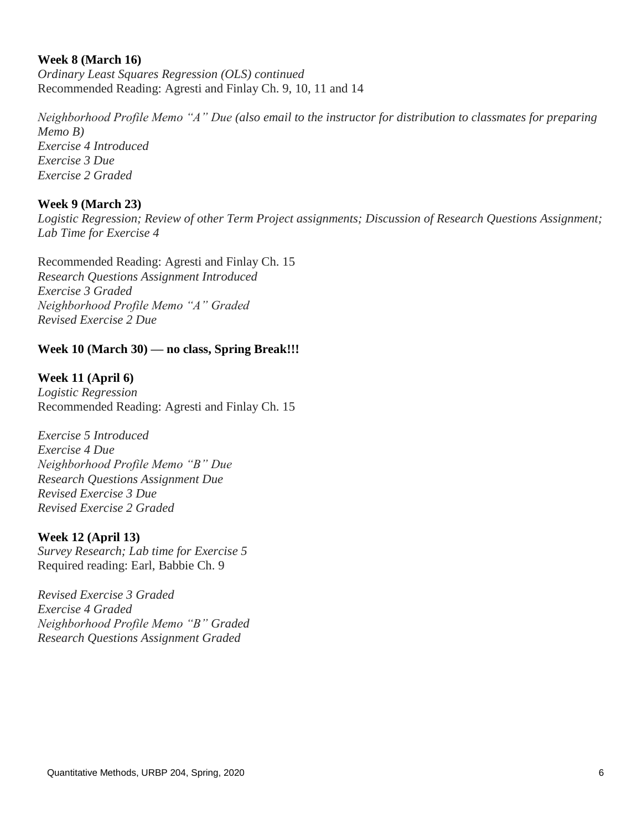#### **Week 8 (March 16)**

*Ordinary Least Squares Regression (OLS) continued* Recommended Reading: Agresti and Finlay Ch. 9, 10, 11 and 14

*Neighborhood Profile Memo "A" Due (also email to the instructor for distribution to classmates for preparing Memo B) Exercise 4 Introduced Exercise 3 Due Exercise 2 Graded*

#### **Week 9 (March 23)**

*Logistic Regression; Review of other Term Project assignments; Discussion of Research Questions Assignment; Lab Time for Exercise 4*

Recommended Reading: Agresti and Finlay Ch. 15 *Research Questions Assignment Introduced Exercise 3 Graded Neighborhood Profile Memo "A" Graded Revised Exercise 2 Due*

#### **Week 10 (March 30) — no class, Spring Break!!!**

**Week 11 (April 6)** *Logistic Regression* Recommended Reading: Agresti and Finlay Ch. 15

*Exercise 5 Introduced Exercise 4 Due Neighborhood Profile Memo "B" Due Research Questions Assignment Due Revised Exercise 3 Due Revised Exercise 2 Graded*

#### **Week 12 (April 13)**

*Survey Research; Lab time for Exercise 5* Required reading: Earl, Babbie Ch. 9

*Revised Exercise 3 Graded Exercise 4 Graded Neighborhood Profile Memo "B" Graded Research Questions Assignment Graded*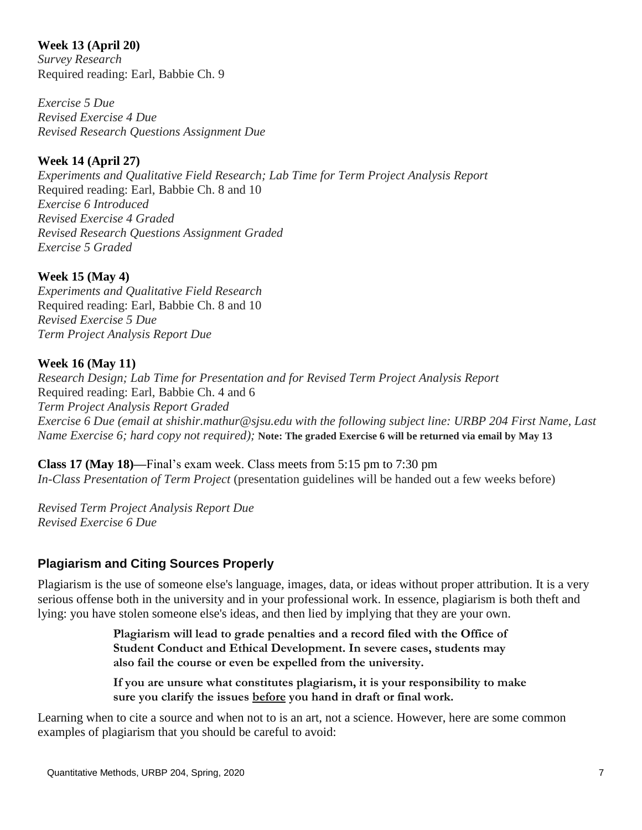#### **Week 13 (April 20)**

*Survey Research* Required reading: Earl, Babbie Ch. 9

*Exercise 5 Due Revised Exercise 4 Due Revised Research Questions Assignment Due*

# **Week 14 (April 27)**

*Experiments and Qualitative Field Research; Lab Time for Term Project Analysis Report* Required reading: Earl, Babbie Ch. 8 and 10 *Exercise 6 Introduced Revised Exercise 4 Graded Revised Research Questions Assignment Graded Exercise 5 Graded*

#### **Week 15 (May 4)**

*Experiments and Qualitative Field Research* Required reading: Earl, Babbie Ch. 8 and 10 *Revised Exercise 5 Due Term Project Analysis Report Due*

## **Week 16 (May 11)**

*Research Design; Lab Time for Presentation and for Revised Term Project Analysis Report* Required reading: Earl, Babbie Ch. 4 and 6 *Term Project Analysis Report Graded Exercise 6 Due (email at shishir.mathur@sjsu.edu with the following subject line: URBP 204 First Name, Last Name Exercise 6; hard copy not required);* **Note: The graded Exercise 6 will be returned via email by May 13**

**Class 17 (May 18)—**Final's exam week. Class meets from 5:15 pm to 7:30 pm *In-Class Presentation of Term Project* (presentation guidelines will be handed out a few weeks before)

*Revised Term Project Analysis Report Due Revised Exercise 6 Due* 

# **Plagiarism and Citing Sources Properly**

Plagiarism is the use of someone else's language, images, data, or ideas without proper attribution. It is a very serious offense both in the university and in your professional work. In essence, plagiarism is both theft and lying: you have stolen someone else's ideas, and then lied by implying that they are your own.

> **Plagiarism will lead to grade penalties and a record filed with the Office of Student Conduct and Ethical Development. In severe cases, students may also fail the course or even be expelled from the university.**

**If you are unsure what constitutes plagiarism, it is your responsibility to make sure you clarify the issues before you hand in draft or final work.**

Learning when to cite a source and when not to is an art, not a science. However, here are some common examples of plagiarism that you should be careful to avoid: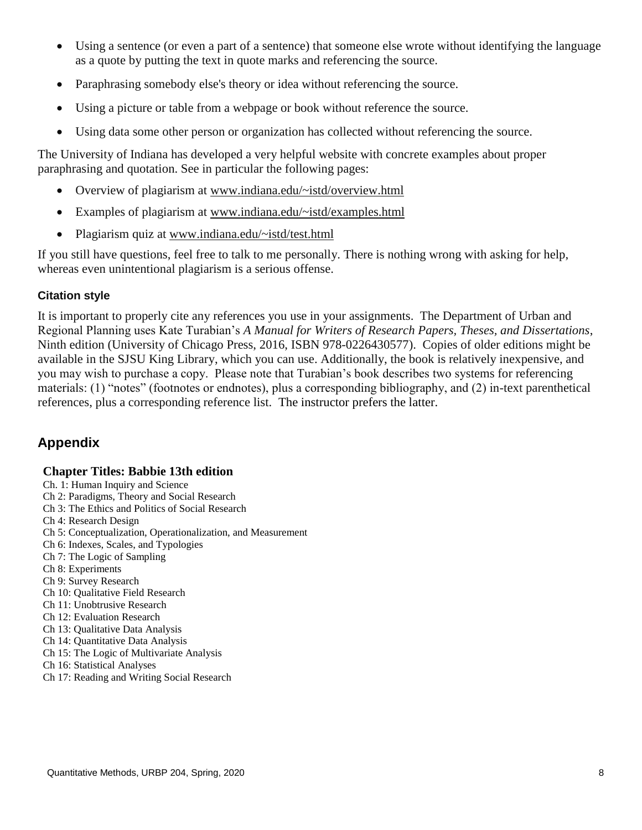- Using a sentence (or even a part of a sentence) that someone else wrote without identifying the language as a quote by putting the text in quote marks and referencing the source.
- Paraphrasing somebody else's theory or idea without referencing the source.
- Using a picture or table from a webpage or book without reference the source.
- Using data some other person or organization has collected without referencing the source.

The University of Indiana has developed a very helpful website with concrete examples about proper paraphrasing and quotation. See in particular the following pages:

- Overview of plagiarism at [www.indiana.edu/~istd/overview.html](http://www.indiana.edu/~istd/overview.html)
- Examples of plagiarism at [www.indiana.edu/~istd/examples.html](http://www.indiana.edu/~istd/examples.html)
- Plagiarism quiz at [www.indiana.edu/~istd/test.html](http://www.indiana.edu/~istd/test.html)

If you still have questions, feel free to talk to me personally. There is nothing wrong with asking for help, whereas even unintentional plagiarism is a serious offense.

#### **Citation style**

It is important to properly cite any references you use in your assignments. The Department of Urban and Regional Planning uses Kate Turabian's *A Manual for Writers of Research Papers, Theses, and Dissertations*, Ninth edition (University of Chicago Press, 2016, ISBN 978-0226430577). Copies of older editions might be available in the SJSU King Library, which you can use. Additionally, the book is relatively inexpensive, and you may wish to purchase a copy. Please note that Turabian's book describes two systems for referencing materials: (1) "notes" (footnotes or endnotes), plus a corresponding bibliography, and (2) in-text parenthetical references, plus a corresponding reference list. The instructor prefers the latter.

# **Appendix**

#### **Chapter Titles: Babbie 13th edition**

- Ch. 1: Human Inquiry and Science
- Ch 2: Paradigms, Theory and Social Research
- Ch 3: The Ethics and Politics of Social Research
- Ch 4: Research Design
- Ch 5: Conceptualization, Operationalization, and Measurement
- Ch 6: Indexes, Scales, and Typologies
- Ch 7: The Logic of Sampling
- Ch 8: Experiments
- Ch 9: Survey Research
- Ch 10: Qualitative Field Research
- Ch 11: Unobtrusive Research
- Ch 12: Evaluation Research
- Ch 13: Qualitative Data Analysis
- Ch 14: Quantitative Data Analysis
- Ch 15: The Logic of Multivariate Analysis
- Ch 16: Statistical Analyses
- Ch 17: Reading and Writing Social Research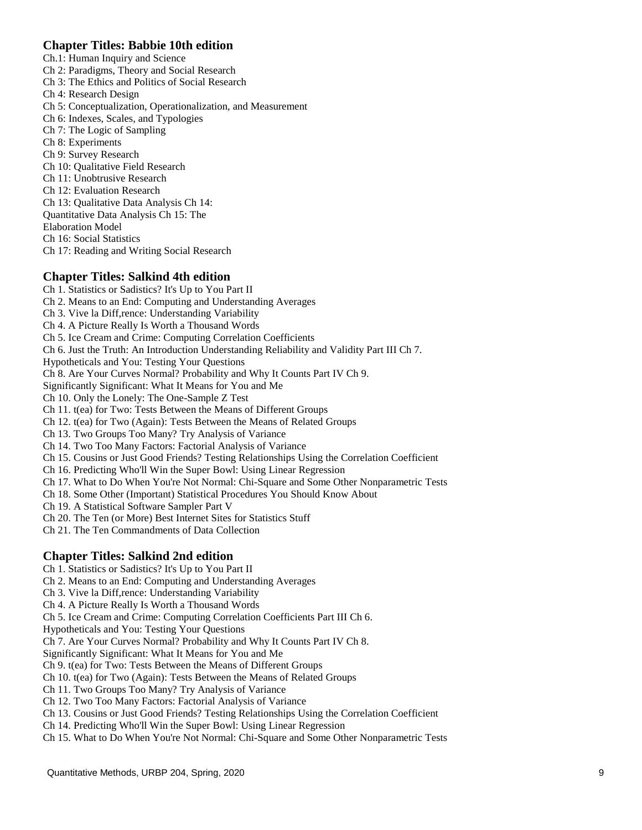#### **Chapter Titles: Babbie 10th edition**

Ch.1: Human Inquiry and Science

- Ch 2: Paradigms, Theory and Social Research
- Ch 3: The Ethics and Politics of Social Research
- Ch 4: Research Design
- Ch 5: Conceptualization, Operationalization, and Measurement
- Ch 6: Indexes, Scales, and Typologies
- Ch 7: The Logic of Sampling
- Ch 8: Experiments
- Ch 9: Survey Research

Ch 10: Qualitative Field Research

- Ch 11: Unobtrusive Research
- Ch 12: Evaluation Research
- Ch 13: Qualitative Data Analysis Ch 14:
- Quantitative Data Analysis Ch 15: The
- Elaboration Model
- Ch 16: Social Statistics
- Ch 17: Reading and Writing Social Research

#### **Chapter Titles: Salkind 4th edition**

Ch 1. Statistics or Sadistics? It's Up to You Part II Ch 2. Means to an End: Computing and Understanding Averages Ch 3. Vive la Diff,rence: Understanding Variability Ch 4. A Picture Really Is Worth a Thousand Words Ch 5. Ice Cream and Crime: Computing Correlation Coefficients Ch 6. Just the Truth: An Introduction Understanding Reliability and Validity Part III Ch 7. Hypotheticals and You: Testing Your Questions Ch 8. Are Your Curves Normal? Probability and Why It Counts Part IV Ch 9. Significantly Significant: What It Means for You and Me Ch 10. Only the Lonely: The One-Sample Z Test Ch 11. t(ea) for Two: Tests Between the Means of Different Groups Ch 12. t(ea) for Two (Again): Tests Between the Means of Related Groups Ch 13. Two Groups Too Many? Try Analysis of Variance Ch 14. Two Too Many Factors: Factorial Analysis of Variance Ch 15. Cousins or Just Good Friends? Testing Relationships Using the Correlation Coefficient Ch 16. Predicting Who'll Win the Super Bowl: Using Linear Regression Ch 17. What to Do When You're Not Normal: Chi-Square and Some Other Nonparametric Tests Ch 18. Some Other (Important) Statistical Procedures You Should Know About Ch 19. A Statistical Software Sampler Part V Ch 20. The Ten (or More) Best Internet Sites for Statistics Stuff Ch 21. The Ten Commandments of Data Collection

#### **Chapter Titles: Salkind 2nd edition**

Ch 1. Statistics or Sadistics? It's Up to You Part II

Ch 2. Means to an End: Computing and Understanding Averages

Ch 3. Vive la Diff,rence: Understanding Variability

Ch 4. A Picture Really Is Worth a Thousand Words

Ch 5. Ice Cream and Crime: Computing Correlation Coefficients Part III Ch 6.

Hypotheticals and You: Testing Your Questions

Ch 7. Are Your Curves Normal? Probability and Why It Counts Part IV Ch 8.

Significantly Significant: What It Means for You and Me

Ch 9. t(ea) for Two: Tests Between the Means of Different Groups

Ch 10. t(ea) for Two (Again): Tests Between the Means of Related Groups

Ch 11. Two Groups Too Many? Try Analysis of Variance

Ch 12. Two Too Many Factors: Factorial Analysis of Variance

Ch 13. Cousins or Just Good Friends? Testing Relationships Using the Correlation Coefficient

Ch 14. Predicting Who'll Win the Super Bowl: Using Linear Regression

Ch 15. What to Do When You're Not Normal: Chi-Square and Some Other Nonparametric Tests